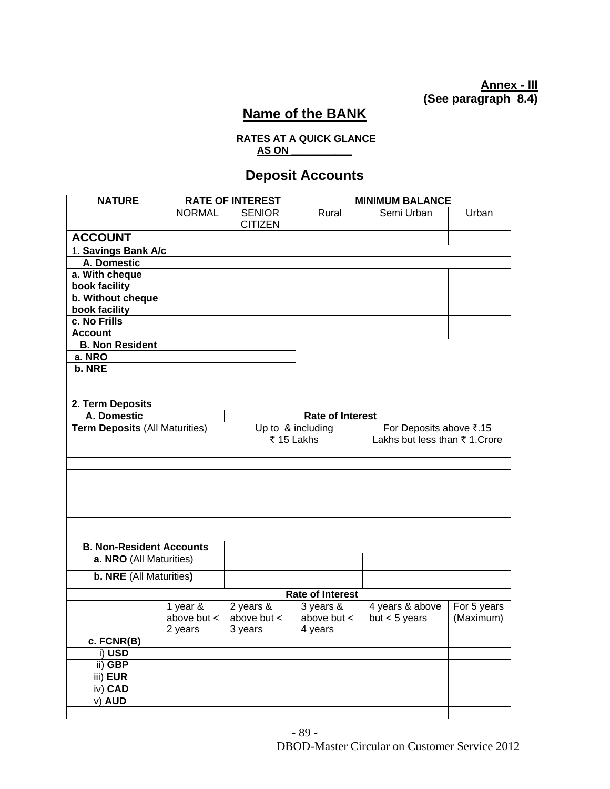### **Annex - III (See paragraph 8.4)**

# **Name of the BANK**

#### **RATES AT A QUICK GLANCE AS ON \_\_\_\_\_\_\_\_\_\_\_**

# **Deposit Accounts**

| <b>NATURE</b>                         |                                        | <b>RATE OF INTEREST</b>      |                              | <b>MINIMUM BALANCE</b>        |             |  |  |
|---------------------------------------|----------------------------------------|------------------------------|------------------------------|-------------------------------|-------------|--|--|
|                                       | <b>NORMAL</b>                          | <b>SENIOR</b>                | Rural                        | Semi Urban                    | Urban       |  |  |
|                                       |                                        | <b>CITIZEN</b>               |                              |                               |             |  |  |
| <b>ACCOUNT</b>                        |                                        |                              |                              |                               |             |  |  |
| 1. Savings Bank A/c                   |                                        |                              |                              |                               |             |  |  |
| A. Domestic                           |                                        |                              |                              |                               |             |  |  |
| a. With cheque                        |                                        |                              |                              |                               |             |  |  |
| book facility                         |                                        |                              |                              |                               |             |  |  |
| b. Without cheque                     |                                        |                              |                              |                               |             |  |  |
| book facility                         |                                        |                              |                              |                               |             |  |  |
| c. No Frills                          |                                        |                              |                              |                               |             |  |  |
| <b>Account</b>                        |                                        |                              |                              |                               |             |  |  |
| <b>B. Non Resident</b>                |                                        |                              |                              |                               |             |  |  |
| a. NRO                                |                                        |                              |                              |                               |             |  |  |
| b. NRE                                |                                        |                              |                              |                               |             |  |  |
|                                       |                                        |                              |                              |                               |             |  |  |
|                                       |                                        |                              |                              |                               |             |  |  |
| 2. Term Deposits                      |                                        |                              |                              |                               |             |  |  |
|                                       | A. Domestic<br><b>Rate of Interest</b> |                              |                              |                               |             |  |  |
| <b>Term Deposits (All Maturities)</b> |                                        | Up to & including            |                              | For Deposits above ₹.15       |             |  |  |
|                                       |                                        | ₹ 15 Lakhs                   |                              | Lakhs but less than ₹1. Crore |             |  |  |
|                                       |                                        |                              |                              |                               |             |  |  |
|                                       |                                        |                              |                              |                               |             |  |  |
|                                       |                                        |                              |                              |                               |             |  |  |
|                                       |                                        |                              |                              |                               |             |  |  |
|                                       |                                        |                              |                              |                               |             |  |  |
|                                       |                                        |                              |                              |                               |             |  |  |
|                                       |                                        |                              |                              |                               |             |  |  |
|                                       |                                        |                              |                              |                               |             |  |  |
| <b>B. Non-Resident Accounts</b>       |                                        |                              |                              |                               |             |  |  |
| a. NRO (All Maturities)               |                                        |                              |                              |                               |             |  |  |
| b. NRE (All Maturities)               |                                        |                              |                              |                               |             |  |  |
|                                       |                                        |                              |                              |                               |             |  |  |
|                                       | <b>Rate of Interest</b>                |                              |                              |                               |             |  |  |
|                                       | 1 year &<br>above but <                | 2 years &<br>above but $\lt$ | 3 years &<br>above but $\lt$ | 4 years & above               | For 5 years |  |  |
|                                       | 2 years                                |                              |                              | but $<$ 5 years               | (Maximum)   |  |  |
|                                       |                                        | 3 years                      | 4 years                      |                               |             |  |  |
| c. FCNR(B)<br>i) USD                  |                                        |                              |                              |                               |             |  |  |
| ii) GBP                               |                                        |                              |                              |                               |             |  |  |
| iii) EUR                              |                                        |                              |                              |                               |             |  |  |
| iv) CAD                               |                                        |                              |                              |                               |             |  |  |
| v) AUD                                |                                        |                              |                              |                               |             |  |  |
|                                       |                                        |                              |                              |                               |             |  |  |
|                                       |                                        |                              |                              |                               |             |  |  |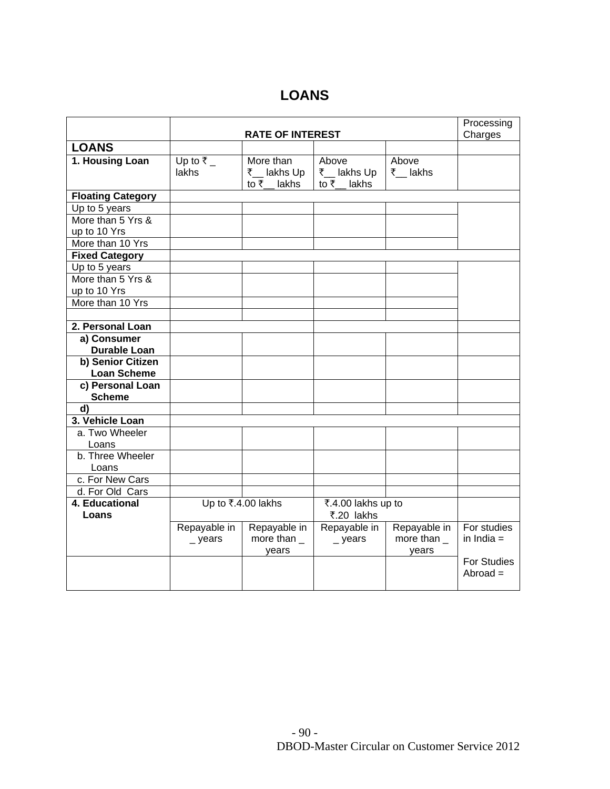### **LOANS**

|                          |                      | Processing         |                       |                |                    |
|--------------------------|----------------------|--------------------|-----------------------|----------------|--------------------|
|                          |                      | Charges            |                       |                |                    |
| <b>LOANS</b>             |                      |                    |                       |                |                    |
| 1. Housing Loan          | Up to $\overline{z}$ | More than          | Above                 | Above          |                    |
|                          | <b>lakhs</b>         | ₹ __ lakhs Up      | ₹_lakhs Up            | ₹__ lakhs      |                    |
|                          |                      | to $\bar{z}$ lakhs | to $\bar{\tau}$ lakhs |                |                    |
| <b>Floating Category</b> |                      |                    |                       |                |                    |
| Up to 5 years            |                      |                    |                       |                |                    |
| More than 5 Yrs &        |                      |                    |                       |                |                    |
| up to 10 Yrs             |                      |                    |                       |                |                    |
| More than 10 Yrs         |                      |                    |                       |                |                    |
| <b>Fixed Category</b>    |                      |                    |                       |                |                    |
| Up to 5 years            |                      |                    |                       |                |                    |
| More than 5 Yrs &        |                      |                    |                       |                |                    |
| up to 10 Yrs             |                      |                    |                       |                |                    |
| More than 10 Yrs         |                      |                    |                       |                |                    |
|                          |                      |                    |                       |                |                    |
| 2. Personal Loan         |                      |                    |                       |                |                    |
| a) Consumer              |                      |                    |                       |                |                    |
| <b>Durable Loan</b>      |                      |                    |                       |                |                    |
| b) Senior Citizen        |                      |                    |                       |                |                    |
| <b>Loan Scheme</b>       |                      |                    |                       |                |                    |
| c) Personal Loan         |                      |                    |                       |                |                    |
| <b>Scheme</b>            |                      |                    |                       |                |                    |
| d)                       |                      |                    |                       |                |                    |
| 3. Vehicle Loan          |                      |                    |                       |                |                    |
| a. Two Wheeler           |                      |                    |                       |                |                    |
| Loans                    |                      |                    |                       |                |                    |
| b. Three Wheeler         |                      |                    |                       |                |                    |
| Loans                    |                      |                    |                       |                |                    |
| c. For New Cars          |                      |                    |                       |                |                    |
| d. For Old Cars          |                      |                    |                       |                |                    |
| 4. Educational           | Up to ₹.4.00 lakhs   |                    | ₹.4.00 lakhs up to    |                |                    |
| Loans                    |                      |                    | ₹.20 lakhs            |                |                    |
|                          | Repayable in         | Repayable in       | Repayable in          | Repayable in   | For studies        |
|                          | $\_$ years           | more than $\_$     | $\_$ years            | more than $\_$ | in India $=$       |
|                          |                      | years              |                       | years          |                    |
|                          |                      |                    |                       |                | <b>For Studies</b> |
|                          |                      |                    |                       |                | $Abroad =$         |
|                          |                      |                    |                       |                |                    |